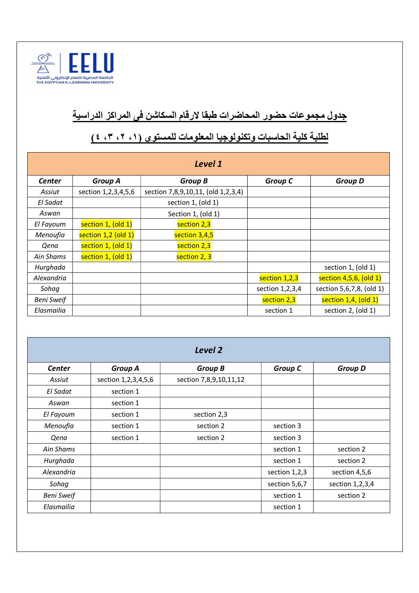

## جدول مجموعات حضور المحاضرات طبقا لارقام السكاشن فى المراكز الدراسية

| Level 1           |                     |                                    |                 |                           |  |  |  |  |
|-------------------|---------------------|------------------------------------|-----------------|---------------------------|--|--|--|--|
| <b>Center</b>     | <b>Group A</b>      | <b>Group B</b>                     | <b>Group C</b>  | <b>Group D</b>            |  |  |  |  |
| Assiut            | section 1,2,3,4,5,6 | section 7,8,9,10,11, (old 1,2,3,4) |                 |                           |  |  |  |  |
| El Sadat          |                     | section 1, (old 1)                 |                 |                           |  |  |  |  |
| Aswan             |                     | Section 1, (old 1)                 |                 |                           |  |  |  |  |
| El Fayoum         | section 1, (old 1)  | section 2,3                        |                 |                           |  |  |  |  |
| Menoufia          | section 1,2 (old 1) | section 3,4,5                      |                 |                           |  |  |  |  |
| Qena              | section 1, (old 1)  | section 2,3                        |                 |                           |  |  |  |  |
| Ain Shams         | section 1, (old 1)  | section 2, 3                       |                 |                           |  |  |  |  |
| Hurghada          |                     |                                    |                 | section 1, (old 1)        |  |  |  |  |
| Alexandria        |                     |                                    | section 1,2,3   | section 4,5,6, (old 1)    |  |  |  |  |
| Sohag             |                     |                                    | section 1,2,3,4 | section 5,6,7,8, (old 1)  |  |  |  |  |
| <b>Beni Sweif</b> |                     |                                    | section 2,3     | section $1,4$ , (old $1)$ |  |  |  |  |
| Elasmailia        |                     |                                    | section 1       | section 2, (old 1)        |  |  |  |  |

## لطلبة كلية الحاسبات وتكنولوجيا المعلومات للمستوي (،١ ،٢ ،٣ ٤)

| Level 2           |                     |                        |                |                 |  |
|-------------------|---------------------|------------------------|----------------|-----------------|--|
| <b>Center</b>     | <b>Group A</b>      | <b>Group B</b>         | <b>Group C</b> | <b>Group D</b>  |  |
| Assiut            | section 1,2,3,4,5,6 | section 7,8,9,10,11,12 |                |                 |  |
| El Sadat          | section 1           |                        |                |                 |  |
| Aswan             | section 1           |                        |                |                 |  |
| El Fayoum         | section 1           | section 2,3            |                |                 |  |
| Menoufia          | section 1           | section 2              | section 3      |                 |  |
| Qena              | section 1           | section 2              | section 3      |                 |  |
| Ain Shams         |                     |                        | section 1      | section 2       |  |
| Hurghada          |                     |                        | section 1      | section 2       |  |
| Alexandria        |                     |                        | section 1,2,3  | section 4,5,6   |  |
| Sohag             |                     |                        | section 5,6,7  | section 1,2,3,4 |  |
| <b>Beni Sweif</b> |                     |                        | section 1      | section 2       |  |
| Elasmailia        |                     |                        | section 1      |                 |  |